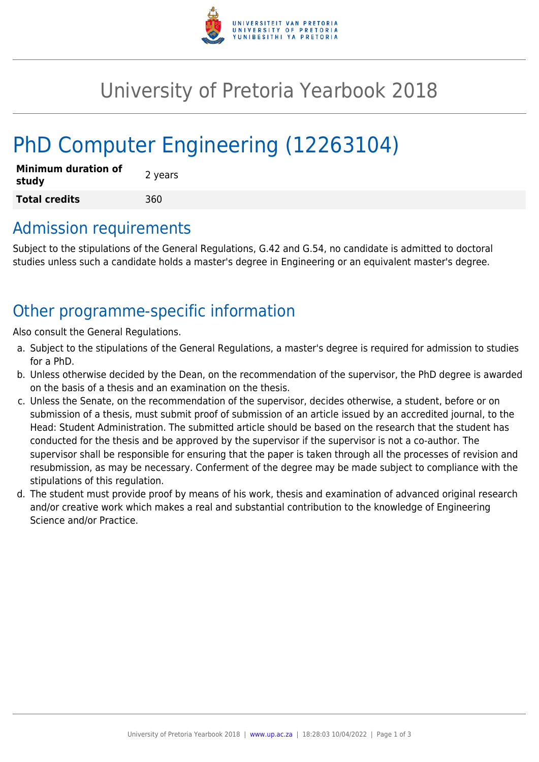

## University of Pretoria Yearbook 2018

# PhD Computer Engineering (12263104)

| <b>Minimum duration of</b><br>study | 2 years |
|-------------------------------------|---------|
| <b>Total credits</b>                | 360     |

#### Admission requirements

Subject to the stipulations of the General Regulations, G.42 and G.54, no candidate is admitted to doctoral studies unless such a candidate holds a master's degree in Engineering or an equivalent master's degree.

### Other programme-specific information

Also consult the General Regulations.

- a. Subject to the stipulations of the General Regulations, a master's degree is required for admission to studies for a PhD.
- b. Unless otherwise decided by the Dean, on the recommendation of the supervisor, the PhD degree is awarded on the basis of a thesis and an examination on the thesis.
- c. Unless the Senate, on the recommendation of the supervisor, decides otherwise, a student, before or on submission of a thesis, must submit proof of submission of an article issued by an accredited journal, to the Head: Student Administration. The submitted article should be based on the research that the student has conducted for the thesis and be approved by the supervisor if the supervisor is not a co-author. The supervisor shall be responsible for ensuring that the paper is taken through all the processes of revision and resubmission, as may be necessary. Conferment of the degree may be made subject to compliance with the stipulations of this regulation.
- d. The student must provide proof by means of his work, thesis and examination of advanced original research and/or creative work which makes a real and substantial contribution to the knowledge of Engineering Science and/or Practice.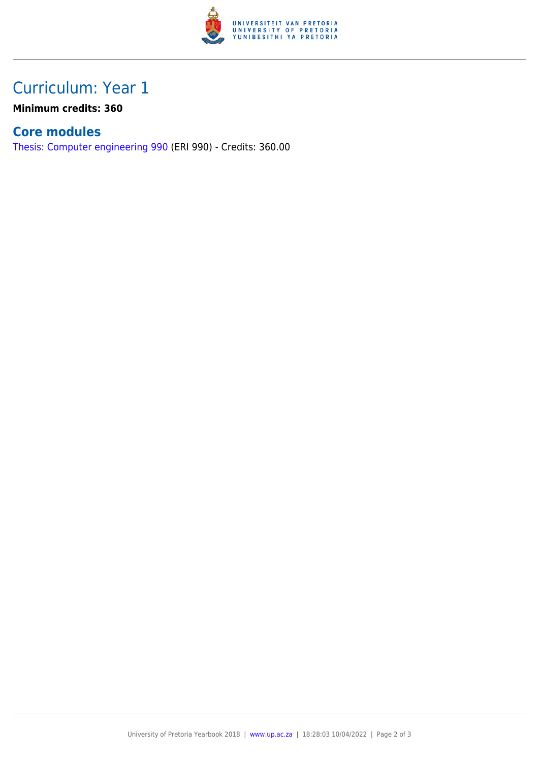

## Curriculum: Year 1

**Minimum credits: 360**

#### **Core modules**

[Thesis: Computer engineering 990](https://www.up.ac.za/faculty-of-education/yearbooks/2018/modules/view/ERI 990) (ERI 990) - Credits: 360.00